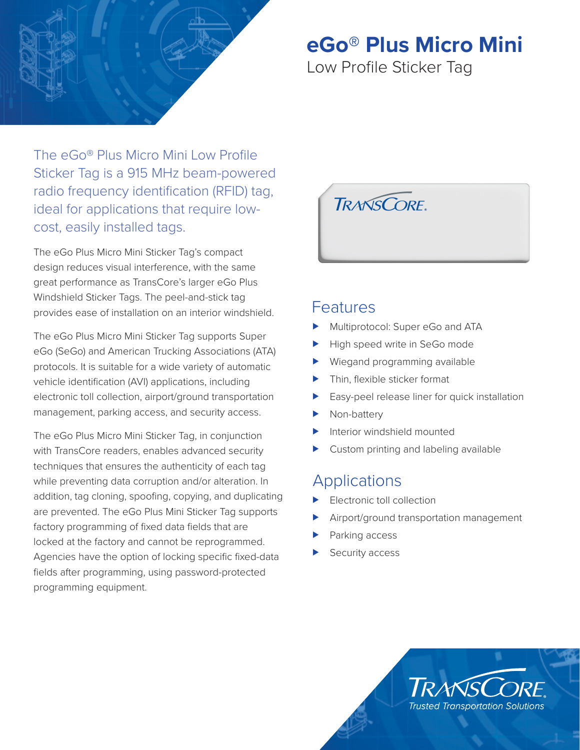

# **eGo® Plus Micro Mini**

Low Profile Sticker Tag

The eGo® Plus Micro Mini Low Profile Sticker Tag is a 915 MHz beam-powered radio frequency identification (RFID) tag, ideal for applications that require lowcost, easily installed tags.

The eGo Plus Micro Mini Sticker Tag's compact design reduces visual interference, with the same great performance as TransCore's larger eGo Plus Windshield Sticker Tags. The peel-and-stick tag provides ease of installation on an interior windshield.

The eGo Plus Micro Mini Sticker Tag supports Super eGo (SeGo) and American Trucking Associations (ATA) protocols. It is suitable for a wide variety of automatic vehicle identification (AVI) applications, including electronic toll collection, airport/ground transportation management, parking access, and security access.

The eGo Plus Micro Mini Sticker Tag, in conjunction with TransCore readers, enables advanced security techniques that ensures the authenticity of each tag while preventing data corruption and/or alteration. In addition, tag cloning, spoofing, copying, and duplicating are prevented. The eGo Plus Mini Sticker Tag supports factory programming of fixed data fields that are locked at the factory and cannot be reprogrammed. Agencies have the option of locking specific fixed-data fields after programming, using password-protected programming equipment.



# Features

- Multiprotocol: Super eGo and ATA
- High speed write in SeGo mode
- Wiegand programming available
- $\blacktriangleright$  Thin, flexible sticker format
- Easy-peel release liner for quick installation
- Non-battery
- Interior windshield mounted
- Custom printing and labeling available

# Applications

- Electronic toll collection
- Airport/ground transportation management
- Parking access
- Security access